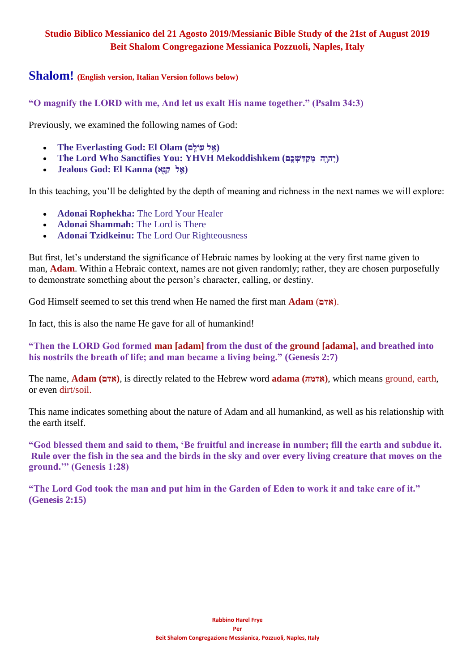# **Shalom! (English version, Italian Version follows below)**

### **"O magnify the LORD with me, And let us exalt His name together." (Psalm 34:3)**

Previously, we examined the following names of God:

- **The Everlasting God: El Olam (ם ָֽ ולֹע ל ֵ֥ א(**
- **(יהוה מקדשכם) The Lord Who Sanctifies You: YHVH Mekoddishkem**
- **(אֵל קַנֵּא)** Jealous God: El Kanna (אֵל

In this teaching, you'll be delighted by the depth of meaning and richness in the next names we will explore:

- **Adonai Rophekha:** The Lord Your Healer
- **Adonai Shammah:** The Lord is There
- **Adonai Tzidkeinu:** The Lord Our Righteousness

But first, let's understand the significance of Hebraic names by looking at the very first name given to man, **Adam**. Within a Hebraic context, names are not given randomly; rather, they are chosen purposefully to demonstrate something about the person's character, calling, or destiny.

God Himself seemed to set this trend when He named the first man **Adam** (**אדם**(.

In fact, this is also the name He gave for all of humankind!

**"Then the LORD God formed man [adam] from the dust of the ground [adama], and breathed into his nostrils the breath of life; and man became a living being." (Genesis 2:7)**

The name, **Adam (אדם(**, is directly related to the Hebrew word **adama (אדמה(**, which means ground, earth, or even dirt/soil.

This name indicates something about the nature of Adam and all humankind, as well as his relationship with the earth itself.

**"God blessed them and said to them, 'Be fruitful and increase in number; fill the earth and subdue it. Rule over the fish in the sea and the birds in the sky and over every living creature that moves on the ground.'" (Genesis 1:28)**

**"The Lord God took the man and put him in the Garden of Eden to work it and take care of it." (Genesis 2:15)**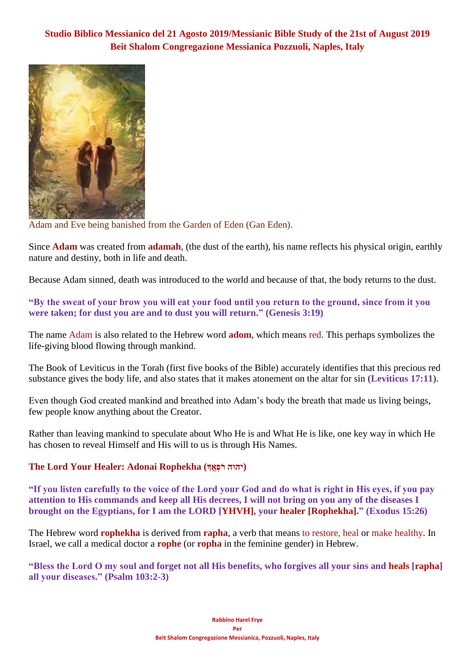

Adam and Eve being banished from the Garden of Eden (Gan Eden).

Since **Adam** was created from **adamah**, (the dust of the earth), his name reflects his physical origin, earthly nature and destiny, both in life and death.

Because Adam sinned, death was introduced to the world and because of that, the body returns to the dust.

**"By the sweat of your brow you will eat your food until you return to the ground, since from it you were taken; for dust you are and to dust you will return." (Genesis 3:19)**

The name Adam is also related to the Hebrew word **adom**, which means red. This perhaps symbolizes the life-giving blood flowing through mankind.

The Book of Leviticus in the Torah (first five books of the Bible) accurately identifies that this precious red substance gives the body life, and also states that it makes atonement on the altar for sin (**Leviticus 17:11**).

Even though God created mankind and breathed into Adam's body the breath that made us living beings, few people know anything about the Creator.

Rather than leaving mankind to speculate about Who He is and What He is like, one key way in which He has chosen to reveal Himself and His will to us is through His Names.

#### **The Lord Your Healer: Adonai Rophekha (ךָ ָֽ א ְפֹר יהוה(**

**"If you listen carefully to the voice of the Lord your God and do what is right in His eyes, if you pay attention to His commands and keep all His decrees, I will not bring on you any of the diseases I brought on the Egyptians, for I am the LORD [YHVH], your healer [Rophekha]." (Exodus 15:26)**

The Hebrew word **rophekha** is derived from **rapha**, a verb that means to restore, heal or make healthy. In Israel, we call a medical doctor a **rophe** (or **ropha** in the feminine gender) in Hebrew.

**"Bless the Lord O my soul and forget not all His benefits, who forgives all your sins and heals [rapha] all your diseases." (Psalm 103:2-3)**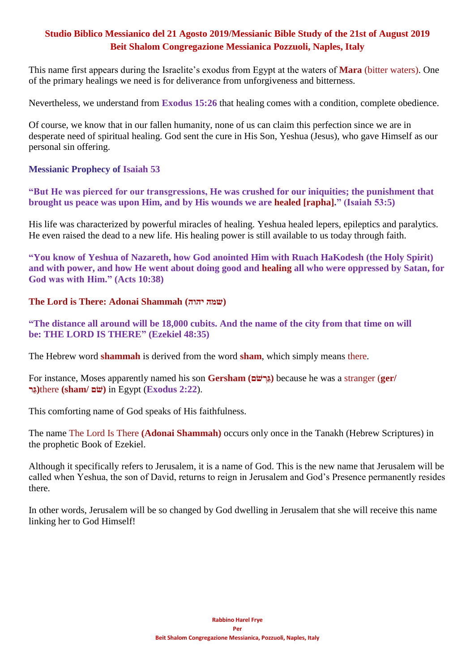This name first appears during the Israelite's exodus from Egypt at the waters of **Mara** (bitter waters). One of the primary healings we need is for deliverance from unforgiveness and bitterness.

Nevertheless, we understand from **Exodus 15:26** that healing comes with a condition, complete obedience.

Of course, we know that in our fallen humanity, none of us can claim this perfection since we are in desperate need of spiritual healing. God sent the cure in His Son, Yeshua (Jesus), who gave Himself as our personal sin offering.

### **Messianic Prophecy of Isaiah 53**

**"But He was pierced for our transgressions, He was crushed for our iniquities; the punishment that brought us peace was upon Him, and by His wounds we are healed [rapha]." (Isaiah 53:5)**

His life was characterized by powerful miracles of healing. Yeshua healed lepers, epileptics and paralytics. He even raised the dead to a new life. His healing power is still available to us today through faith.

**"You know of Yeshua of Nazareth, how God anointed Him with Ruach HaKodesh (the Holy Spirit) and with power, and how He went about doing good and healing all who were oppressed by Satan, for God was with Him." (Acts 10:38)**

### **The Lord is There: Adonai Shammah (יהוה שמה(**

**"The distance all around will be 18,000 cubits. And the name of the city from that time on will be: THE LORD IS THERE" (Ezekiel 48:35)**

The Hebrew word **shammah** is derived from the word **sham**, which simply means there.

For instance, Moses apparently named his son **Gersham (םֹש ְר ג (**because he was a stranger (**ger/ ר ג(**there **(sham/ םֹש (**in Egypt (**Exodus 2:22**).

This comforting name of God speaks of His faithfulness.

The name The Lord Is There **(Adonai Shammah)** occurs only once in the Tanakh (Hebrew Scriptures) in the prophetic Book of Ezekiel.

Although it specifically refers to Jerusalem, it is a name of God. This is the new name that Jerusalem will be called when Yeshua, the son of David, returns to reign in Jerusalem and God's Presence permanently resides there.

In other words, Jerusalem will be so changed by God dwelling in Jerusalem that she will receive this name linking her to God Himself!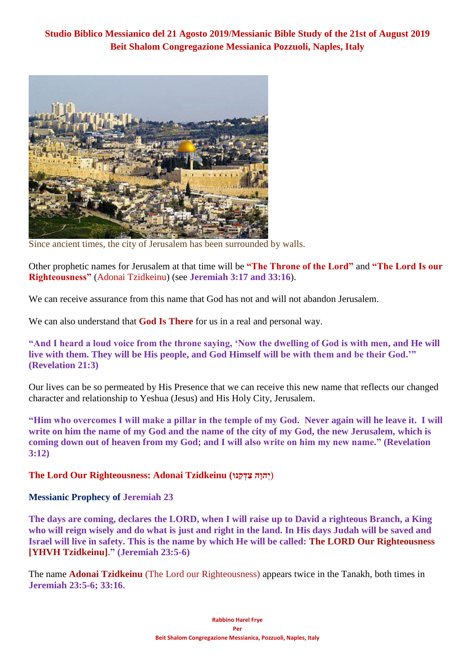

Since ancient times, the city of Jerusalem has been surrounded by walls.

Other prophetic names for Jerusalem at that time will be **"The Throne of the Lord"** and **"The Lord Is our Righteousness"** (Adonai Tzidkeinu) (see **Jeremiah 3:17 and 33:16**).

We can receive assurance from this name that God has not and will not abandon Jerusalem.

We can also understand that **God Is There** for us in a real and personal way.

**"And I heard a loud voice from the throne saying, 'Now the dwelling of God is with men, and He will live with them. They will be His people, and God Himself will be with them and be their God.'" (Revelation 21:3)**

Our lives can be so permeated by His Presence that we can receive this new name that reflects our changed character and relationship to Yeshua (Jesus) and His Holy City, Jerusalem.

**"Him who overcomes I will make a pillar in the temple of my God. Never again will he leave it. I will write on him the name of my God and the name of the city of my God, the new Jerusalem, which is coming down out of heaven from my God; and I will also write on him my new name." (Revelation 3:12)**

### **The Lord Our Righteousness: Adonai Tzidkeinu (יְהוּה צִּדְקֵנוּ)**

#### **Messianic Prophecy of Jeremiah 23**

**The days are coming, declares the LORD, when I will raise up to David a righteous Branch, a King who will reign wisely and do what is just and right in the land. In His days Judah will be saved and Israel will live in safety. This is the name by which He will be called: The LORD Our Righteousness [YHVH Tzidkeinu]**.**" (Jeremiah 23:5-6)**

The name **Adonai Tzidkeinu** (The Lord our Righteousness) appears twice in the Tanakh, both times in **Jeremiah 23:5-6; 33:16**.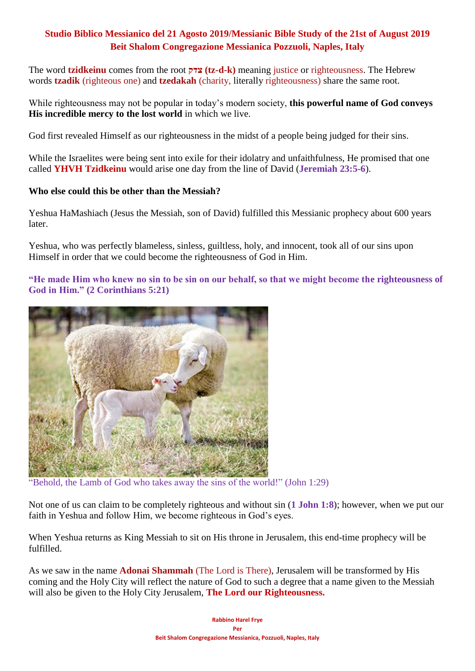The word **tzidkeinu** comes from the root **צדק) tz-d-k)** meaning justice or righteousness. The Hebrew words **tzadik** (righteous one) and **tzedakah** (charity, literally righteousness) share the same root.

While righteousness may not be popular in today's modern society, **this powerful name of God conveys His incredible mercy to the lost world** in which we live.

God first revealed Himself as our righteousness in the midst of a people being judged for their sins.

While the Israelites were being sent into exile for their idolatry and unfaithfulness, He promised that one called **YHVH Tzidkeinu** would arise one day from the line of David (**Jeremiah 23:5-6**).

#### **Who else could this be other than the Messiah?**

Yeshua HaMashiach (Jesus the Messiah, son of David) fulfilled this Messianic prophecy about 600 years later.

Yeshua, who was perfectly blameless, sinless, guiltless, holy, and innocent, took all of our sins upon Himself in order that we could become the righteousness of God in Him.

**"He made Him who knew no sin to be sin on our behalf, so that we might become the righteousness of God in Him." (2 Corinthians 5:21)**



"Behold, the Lamb of God who takes away the sins of the world!" (John 1:29)

Not one of us can claim to be completely righteous and without sin (**1 John 1:8**); however, when we put our faith in Yeshua and follow Him, we become righteous in God's eyes.

When Yeshua returns as King Messiah to sit on His throne in Jerusalem, this end-time prophecy will be fulfilled.

As we saw in the name **Adonai Shammah** (The Lord is There), Jerusalem will be transformed by His coming and the Holy City will reflect the nature of God to such a degree that a name given to the Messiah will also be given to the Holy City Jerusalem, **The Lord our Righteousness.**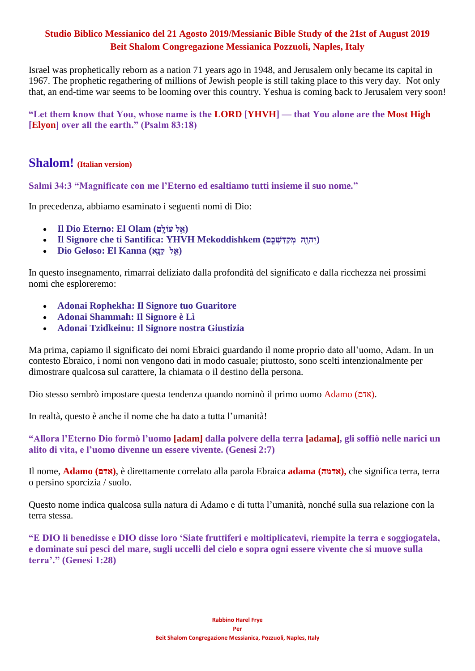Israel was prophetically reborn as a nation 71 years ago in 1948, and Jerusalem only became its capital in 1967. The prophetic regathering of millions of Jewish people is still taking place to this very day. Not only that, an end-time war seems to be looming over this country. Yeshua is coming back to Jerusalem very soon!

### **"Let them know that You, whose name is the LORD [YHVH] — that You alone are the Most High [Elyon] over all the earth." (Psalm 83:18)**

# **Shalom! (Italian version)**

**Salmi 34:3 "Magnificate con me l'Eterno ed esaltiamo tutti insieme il suo nome."**

In precedenza, abbiamo esaminato i seguenti nomi di Dio:

- **Il Dio Eterno: El Olam (ם ָֽ ולֹע ל ֵ֥ א(**
- **(יהוה מקדשכם) Il Signore che ti Santifica: YHVH Mekoddishkem**
- Dio Geloso: El Kanna (אֵל קַנָּא

In questo insegnamento, rimarrai deliziato dalla profondità del significato e dalla ricchezza nei prossimi nomi che esploreremo:

- **Adonai Rophekha: Il Signore tuo Guaritore**
- **Adonai Shammah: Il Signore è Lì**
- **Adonai Tzidkeinu: Il Signore nostra Giustizia**

Ma prima, capiamo il significato dei nomi Ebraici guardando il nome proprio dato all'uomo, Adam. In un contesto Ebraico, i nomi non vengono dati in modo casuale; piuttosto, sono scelti intenzionalmente per dimostrare qualcosa sul carattere, la chiamata o il destino della persona.

Dio stesso sembrò impostare questa tendenza quando nominò il primo uomo Adamo (אדם).

In realtà, questo è anche il nome che ha dato a tutta l'umanità!

**"Allora l'Eterno Dio formò l'uomo [adam] dalla polvere della terra [adama], gli soffiò nelle narici un alito di vita, e l'uomo divenne un essere vivente. (Genesi 2:7)**

Il nome, **Adamo (אדם(**, è direttamente correlato alla parola Ebraica **adama (אדמה(,** che significa terra, terra o persino sporcizia / suolo.

Questo nome indica qualcosa sulla natura di Adamo e di tutta l'umanità, nonché sulla sua relazione con la terra stessa.

**"E DIO li benedisse e DIO disse loro 'Siate fruttiferi e moltiplicatevi, riempite la terra e soggiogatela, e dominate sui pesci del mare, sugli uccelli del cielo e sopra ogni essere vivente che si muove sulla terra'." (Genesi 1:28)**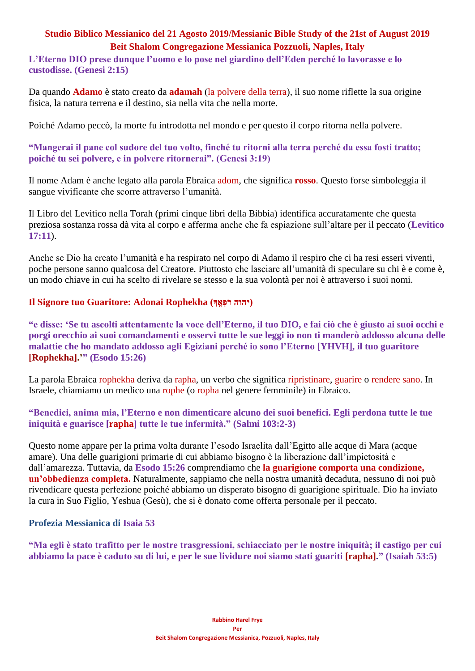**L'Eterno DIO prese dunque l'uomo e lo pose nel giardino dell'Eden perché lo lavorasse e lo custodisse. (Genesi 2:15)**

Da quando **Adamo** è stato creato da **adamah** (la polvere della terra), il suo nome riflette la sua origine fisica, la natura terrena e il destino, sia nella vita che nella morte.

Poiché Adamo peccò, la morte fu introdotta nel mondo e per questo il corpo ritorna nella polvere.

**"Mangerai il pane col sudore del tuo volto, finché tu ritorni alla terra perché da essa fosti tratto; poiché tu sei polvere, e in polvere ritornerai". (Genesi 3:19)**

Il nome Adam è anche legato alla parola Ebraica adom, che significa **rosso**. Questo forse simboleggia il sangue vivificante che scorre attraverso l'umanità.

Il Libro del Levitico nella Torah (primi cinque libri della Bibbia) identifica accuratamente che questa preziosa sostanza rossa dà vita al corpo e afferma anche che fa espiazione sull'altare per il peccato (**Levitico 17:11**).

Anche se Dio ha creato l'umanità e ha respirato nel corpo di Adamo il respiro che ci ha resi esseri viventi, poche persone sanno qualcosa del Creatore. Piuttosto che lasciare all'umanità di speculare su chi è e come è, un modo chiave in cui ha scelto di rivelare se stesso e la sua volontà per noi è attraverso i suoi nomi.

#### **Il Signore tuo Guaritore: Adonai Rophekha (ךָ ָֽ א ְפֹר יהוה(**

**"e disse: 'Se tu ascolti attentamente la voce dell'Eterno, il tuo DIO, e fai ciò che è giusto ai suoi occhi e porgi orecchio ai suoi comandamenti e osservi tutte le sue leggi io non ti manderò addosso alcuna delle malattie che ho mandato addosso agli Egiziani perché io sono l'Eterno [YHVH], il tuo guaritore [Rophekha].'" (Esodo 15:26)**

La parola Ebraica rophekha deriva da rapha, un verbo che significa ripristinare, guarire o rendere sano. In Israele, chiamiamo un medico una rophe (o ropha nel genere femminile) in Ebraico.

**"Benedici, anima mia, l'Eterno e non dimenticare alcuno dei suoi benefici. Egli perdona tutte le tue iniquità e guarisce [rapha] tutte le tue infermità." (Salmi 103:2-3)**

Questo nome appare per la prima volta durante l'esodo Israelita dall'Egitto alle acque di Mara (acque amare). Una delle guarigioni primarie di cui abbiamo bisogno è la liberazione dall'impietosità e dall'amarezza. Tuttavia, da **Esodo 15:26** comprendiamo che **la guarigione comporta una condizione, un'obbedienza completa.** Naturalmente, sappiamo che nella nostra umanità decaduta, nessuno di noi può rivendicare questa perfezione poiché abbiamo un disperato bisogno di guarigione spirituale. Dio ha inviato la cura in Suo Figlio, Yeshua (Gesù), che si è donato come offerta personale per il peccato.

#### **Profezia Messianica di Isaia 53**

**"Ma egli è stato trafitto per le nostre trasgressioni, schiacciato per le nostre iniquità; il castigo per cui abbiamo la pace è caduto su di lui, e per le sue lividure noi siamo stati guariti [rapha]." (Isaiah 53:5)**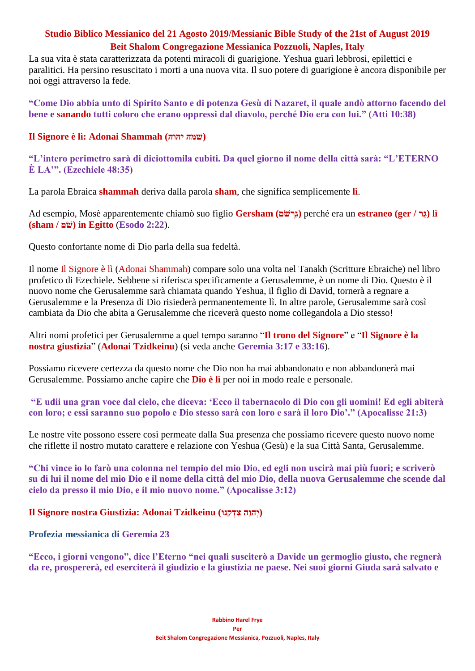La sua vita è stata caratterizzata da potenti miracoli di guarigione. Yeshua guarì lebbrosi, epilettici e paralitici. Ha persino resuscitato i morti a una nuova vita. Il suo potere di guarigione è ancora disponibile per noi oggi attraverso la fede.

**"Come Dio abbia unto di Spirito Santo e di potenza Gesù di Nazaret, il quale andò attorno facendo del bene e sanando tutti coloro che erano oppressi dal diavolo, perché Dio era con lui." (Atti 10:38)**

### **Il Signore è lì: Adonai Shammah (יהוה שמה(**

**"L'intero perimetro sarà di diciottomila cubiti. Da quel giorno il nome della città sarà: "L'ETERNO È LA'". (Ezechiele 48:35)**

La parola Ebraica **shammah** deriva dalla parola **sham**, che significa semplicemente **lì**.

Ad esempio, Mosè apparentemente chiamò suo figlio **Gersham (םֹש ְר ג (**perché era un **estraneo (ger / ר ג (lì (sham / םֹש (in Egitto** (**Esodo 2:22**).

Questo confortante nome di Dio parla della sua fedeltà.

Il nome Il Signore è lì (Adonai Shammah) compare solo una volta nel Tanakh (Scritture Ebraiche) nel libro profetico di Ezechiele. Sebbene si riferisca specificamente a Gerusalemme, è un nome di Dio. Questo è il nuovo nome che Gerusalemme sarà chiamata quando Yeshua, il figlio di David, tornerà a regnare a Gerusalemme e la Presenza di Dio risiederà permanentemente lì. In altre parole, Gerusalemme sarà così cambiata da Dio che abita a Gerusalemme che riceverà questo nome collegandola a Dio stesso!

Altri nomi profetici per Gerusalemme a quel tempo saranno "**Il trono del Signore**" e "**Il Signore è la nostra giustizia**" (**Adonai Tzidkeinu**) (si veda anche **Geremia 3:17 e 33:16**).

Possiamo ricevere certezza da questo nome che Dio non ha mai abbandonato e non abbandonerà mai Gerusalemme. Possiamo anche capire che **Dio è lì** per noi in modo reale e personale.

**"E udii una gran voce dal cielo, che diceva: 'Ecco il tabernacolo di Dio con gli uomini! Ed egli abiterà con loro; e essi saranno suo popolo e Dio stesso sarà con loro e sarà il loro Dio'." (Apocalisse 21:3)**

Le nostre vite possono essere così permeate dalla Sua presenza che possiamo ricevere questo nuovo nome che riflette il nostro mutato carattere e relazione con Yeshua (Gesù) e la sua Città Santa, Gerusalemme.

**"Chi vince io lo farò una colonna nel tempio del mio Dio, ed egli non uscirà mai più fuori; e scriverò su di lui il nome del mio Dio e il nome della città del mio Dio, della nuova Gerusalemme che scende dal cielo da presso il mio Dio, e il mio nuovo nome." (Apocalisse 3:12)**

#### **(יְהוָה צִּדְקֵנוּ) Il Signore nostra Giustizia: Adonai Tzidkeinu**

#### **Profezia messianica di Geremia 23**

**"Ecco, i giorni vengono", dice l'Eterno "nei quali susciterò a Davide un germoglio giusto, che regnerà da re, prospererà, ed eserciterà il giudizio e la giustizia ne paese. Nei suoi giorni Giuda sarà salvato e**